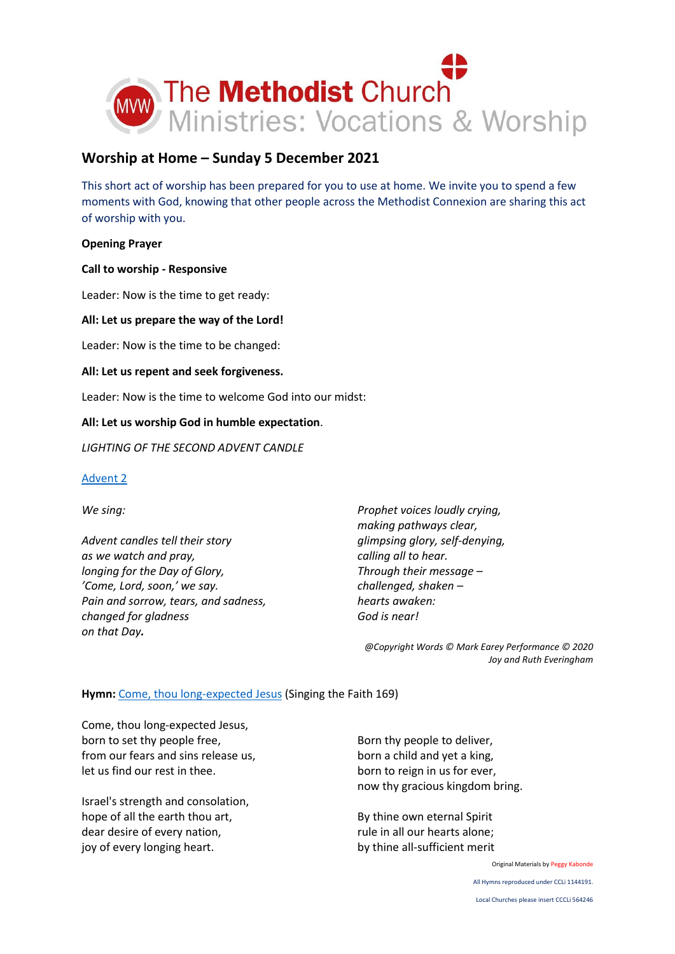

# **Worship at Home – Sunday 5 December 2021**

This short act of worship has been prepared for you to use at home. We invite you to spend a few moments with God, knowing that other people across the Methodist Connexion are sharing this act of worship with you.

### **Opening Prayer**

### **Call to worship - Responsive**

Leader: Now is the time to get ready:

#### **All: Let us prepare the way of the Lord!**

Leader: Now is the time to be changed:

#### **All: Let us repent and seek forgiveness.**

Leader: Now is the time to welcome God into our midst:

### **All: Let us worship God in humble expectation**.

*LIGHTING OF THE SECOND ADVENT CANDLE*

#### [Advent 2](https://www.youtube.com/watch?v=X5sSARpY2-o)

*We sing:*

*Advent candles tell their story as we watch and pray, longing for the Day of Glory, 'Come, Lord, soon,' we say. Pain and sorrow, tears, and sadness, changed for gladness on that Day.*

*Prophet voices loudly crying, making pathways clear, glimpsing glory, self-denying, calling all to hear. Through their message – challenged, shaken – hearts awaken: God is near!*

*@Copyright Words © Mark Earey Performance © 2020 Joy and Ruth Everingham*

### **Hymn:** [Come, thou long-expected Jesus](https://www.youtube.com/watch?v=WBGx_4PxO3g) (Singing the Faith 169)

Come, thou long-expected Jesus, born to set thy people free, from our fears and sins release us, let us find our rest in thee.

Israel's strength and consolation, hope of all the earth thou art, dear desire of every nation, joy of every longing heart.

Born thy people to deliver, born a child and yet a king, born to reign in us for ever, now thy gracious kingdom bring.

By thine own eternal Spirit rule in all our hearts alone; by thine all-sufficient merit

Original Materials by Peggy Kabonde

All Hymns reproduced under CCLi 1144191.

Local Churches please insert CCCLi 564246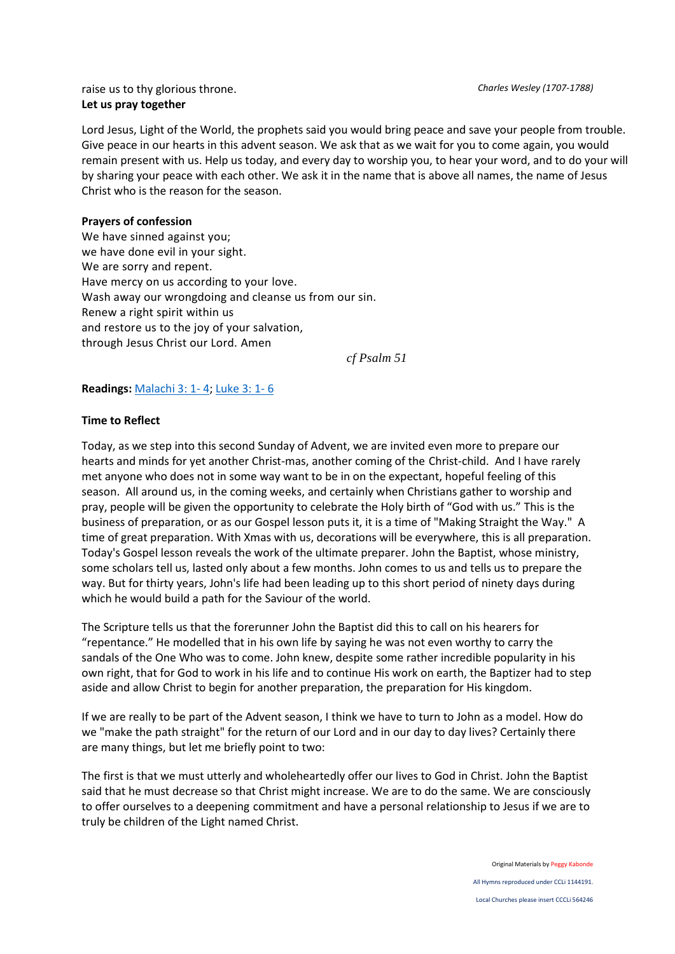raise us to thy glorious throne. *Charles Wesley (1707-1788)* **Let us pray together**

Lord Jesus, Light of the World, the prophets said you would bring peace and save your people from trouble. Give peace in our hearts in this advent season. We ask that as we wait for you to come again, you would remain present with us. Help us today, and every day to worship you, to hear your word, and to do your will by sharing your peace with each other. We ask it in the name that is above all names, the name of Jesus Christ who is the reason for the season.

## **Prayers of confession**

We have sinned against you; we have done evil in your sight. We are sorry and repent. Have mercy on us according to your love. Wash away our wrongdoing and cleanse us from our sin. Renew a right spirit within us and restore us to the joy of your salvation, through Jesus Christ our Lord. Amen

*cf Psalm 51*

# **Readings:** [Malachi 3: 1-](https://www.biblegateway.com/passage/?search=Malachi+3%3A+1-+4&version=NIV) 4; [Luke 3: 1-](https://www.biblegateway.com/passage/?search=Luke+3%3A+1-+6&version=NIV) 6

## **Time to Reflect**

Today, as we step into this second Sunday of Advent, we are invited even more to prepare our hearts and minds for yet another Christ-mas, another coming of the Christ-child. And I have rarely met anyone who does not in some way want to be in on the expectant, hopeful feeling of this season. All around us, in the coming weeks, and certainly when Christians gather to worship and pray, people will be given the opportunity to celebrate the Holy birth of "God with us." This is the business of preparation, or as our Gospel lesson puts it, it is a time of "Making Straight the Way." A time of great preparation. With Xmas with us, decorations will be everywhere, this is all preparation. Today's Gospel lesson reveals the work of the ultimate preparer. John the Baptist, whose ministry, some scholars tell us, lasted only about a few months. John comes to us and tells us to prepare the way. But for thirty years, John's life had been leading up to this short period of ninety days during which he would build a path for the Saviour of the world.

The Scripture tells us that the forerunner John the Baptist did this to call on his hearers for "repentance." He modelled that in his own life by saying he was not even worthy to carry the sandals of the One Who was to come. John knew, despite some rather incredible popularity in his own right, that for God to work in his life and to continue His work on earth, the Baptizer had to step aside and allow Christ to begin for another preparation, the preparation for His kingdom.

If we are really to be part of the Advent season, I think we have to turn to John as a model. How do we "make the path straight" for the return of our Lord and in our day to day lives? Certainly there are many things, but let me briefly point to two:

The first is that we must utterly and wholeheartedly offer our lives to God in Christ. John the Baptist said that he must decrease so that Christ might increase. We are to do the same. We are consciously to offer ourselves to a deepening commitment and have a personal relationship to Jesus if we are to truly be children of the Light named Christ.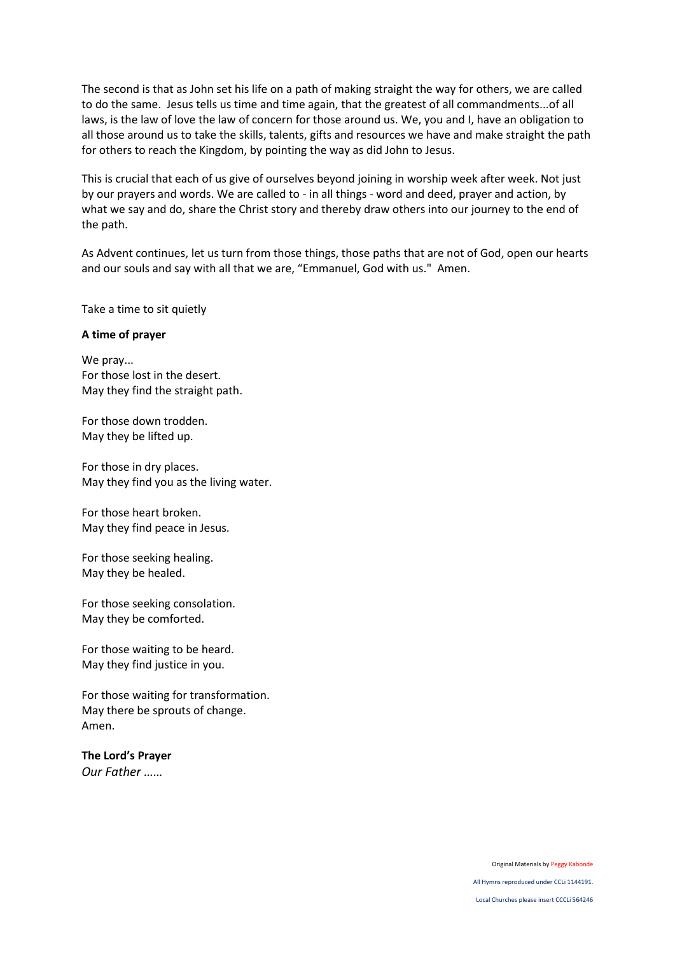The second is that as John set his life on a path of making straight the way for others, we are called to do the same. Jesus tells us time and time again, that the greatest of all commandments...of all laws, is the law of love the law of concern for those around us. We, you and I, have an obligation to all those around us to take the skills, talents, gifts and resources we have and make straight the path for others to reach the Kingdom, by pointing the way as did John to Jesus.

This is crucial that each of us give of ourselves beyond joining in worship week after week. Not just by our prayers and words. We are called to - in all things - word and deed, prayer and action, by what we say and do, share the Christ story and thereby draw others into our journey to the end of the path.

As Advent continues, let us turn from those things, those paths that are not of God, open our hearts and our souls and say with all that we are, "Emmanuel, God with us." Amen.

Take a time to sit quietly

#### **A time of prayer**

We pray... For those lost in the desert. May they find the straight path.

For those down trodden. May they be lifted up.

For those in dry places. May they find you as the living water.

For those heart broken. May they find peace in Jesus.

For those seeking healing. May they be healed.

For those seeking consolation. May they be comforted.

For those waiting to be heard. May they find justice in you.

For those waiting for transformation. May there be sprouts of change. Amen.

**The Lord's Prayer** *Our Father ……*

Original Materials by Peggy Kabonde

All Hymns reproduced under CCLi 1144191.

Local Churches please insert CCCLi 564246